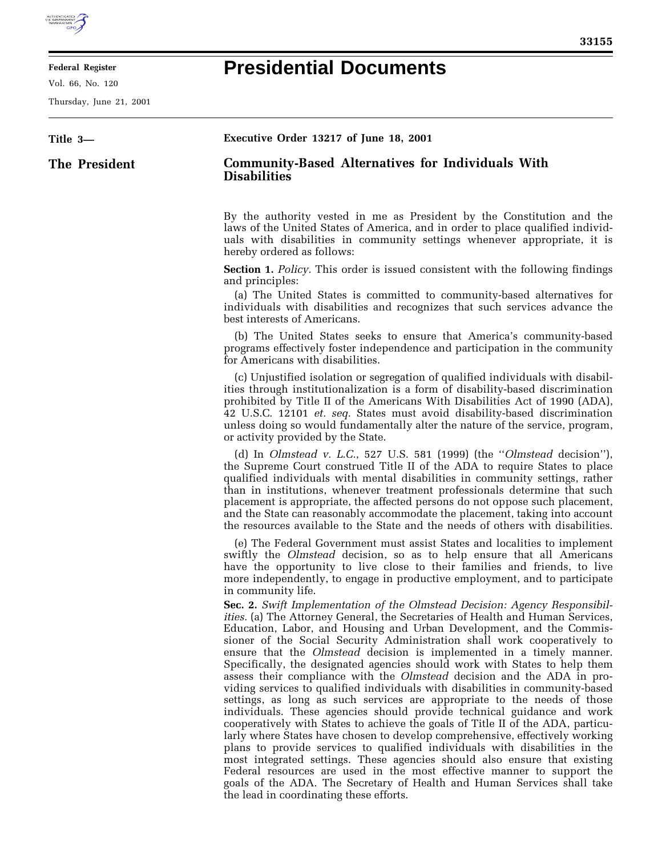## **Presidential Documents**

**Federal Register**

Vol. 66, No. 120 Thursday, June 21, 2001

| Title 3-      | Executive Order 13217 of June 18, 2001                                                                                                                                                                                                                                                                                                                                                                                                                                                                                                                                                                                                                                                                                                                                                                                                                                                                                                                                                                                                                                                                                                                                                                                                                                                                                                      |
|---------------|---------------------------------------------------------------------------------------------------------------------------------------------------------------------------------------------------------------------------------------------------------------------------------------------------------------------------------------------------------------------------------------------------------------------------------------------------------------------------------------------------------------------------------------------------------------------------------------------------------------------------------------------------------------------------------------------------------------------------------------------------------------------------------------------------------------------------------------------------------------------------------------------------------------------------------------------------------------------------------------------------------------------------------------------------------------------------------------------------------------------------------------------------------------------------------------------------------------------------------------------------------------------------------------------------------------------------------------------|
| The President | <b>Community-Based Alternatives for Individuals With</b><br><b>Disabilities</b>                                                                                                                                                                                                                                                                                                                                                                                                                                                                                                                                                                                                                                                                                                                                                                                                                                                                                                                                                                                                                                                                                                                                                                                                                                                             |
|               | By the authority vested in me as President by the Constitution and the<br>laws of the United States of America, and in order to place qualified individ-<br>uals with disabilities in community settings whenever appropriate, it is<br>hereby ordered as follows:                                                                                                                                                                                                                                                                                                                                                                                                                                                                                                                                                                                                                                                                                                                                                                                                                                                                                                                                                                                                                                                                          |
|               | <b>Section 1.</b> Policy. This order is issued consistent with the following findings<br>and principles:<br>(a) The United States is committed to community-based alternatives for<br>individuals with disabilities and recognizes that such services advance the<br>best interests of Americans.                                                                                                                                                                                                                                                                                                                                                                                                                                                                                                                                                                                                                                                                                                                                                                                                                                                                                                                                                                                                                                           |
|               | (b) The United States seeks to ensure that America's community-based<br>programs effectively foster independence and participation in the community<br>for Americans with disabilities.                                                                                                                                                                                                                                                                                                                                                                                                                                                                                                                                                                                                                                                                                                                                                                                                                                                                                                                                                                                                                                                                                                                                                     |
|               | (c) Unjustified isolation or segregation of qualified individuals with disabil-<br>ities through institutionalization is a form of disability-based discrimination<br>prohibited by Title II of the Americans With Disabilities Act of 1990 (ADA),<br>42 U.S.C. 12101 et. seq. States must avoid disability-based discrimination<br>unless doing so would fundamentally alter the nature of the service, program,<br>or activity provided by the State.                                                                                                                                                                                                                                                                                                                                                                                                                                                                                                                                                                                                                                                                                                                                                                                                                                                                                     |
|               | (d) In Olmstead v. L.C., 527 U.S. 581 (1999) (the "Olmstead decision"),<br>the Supreme Court construed Title II of the ADA to require States to place<br>qualified individuals with mental disabilities in community settings, rather<br>than in institutions, whenever treatment professionals determine that such<br>placement is appropriate, the affected persons do not oppose such placement,<br>and the State can reasonably accommodate the placement, taking into account<br>the resources available to the State and the needs of others with disabilities.                                                                                                                                                                                                                                                                                                                                                                                                                                                                                                                                                                                                                                                                                                                                                                       |
|               | (e) The Federal Government must assist States and localities to implement<br>swiftly the <i>Olmstead</i> decision, so as to help ensure that all Americans<br>have the opportunity to live close to their families and friends, to live<br>more independently, to engage in productive employment, and to participate<br>in community life.                                                                                                                                                                                                                                                                                                                                                                                                                                                                                                                                                                                                                                                                                                                                                                                                                                                                                                                                                                                                 |
|               | Sec. 2. Swift Implementation of the Olmstead Decision: Agency Responsibil-<br><i>ities.</i> (a) The Attorney General, the Secretaries of Health and Human Services,<br>Education, Labor, and Housing and Urban Development, and the Commis-<br>sioner of the Social Security Administration shall work cooperatively to<br>ensure that the <i>Olmstead</i> decision is implemented in a timely manner.<br>Specifically, the designated agencies should work with States to help them<br>assess their compliance with the <i>Olmstead</i> decision and the ADA in pro-<br>viding services to qualified individuals with disabilities in community-based<br>settings, as long as such services are appropriate to the needs of those<br>individuals. These agencies should provide technical guidance and work<br>cooperatively with States to achieve the goals of Title II of the ADA, particu-<br>larly where States have chosen to develop comprehensive, effectively working<br>plans to provide services to qualified individuals with disabilities in the<br>most integrated settings. These agencies should also ensure that existing<br>Federal resources are used in the most effective manner to support the<br>goals of the ADA. The Secretary of Health and Human Services shall take<br>the lead in coordinating these efforts. |